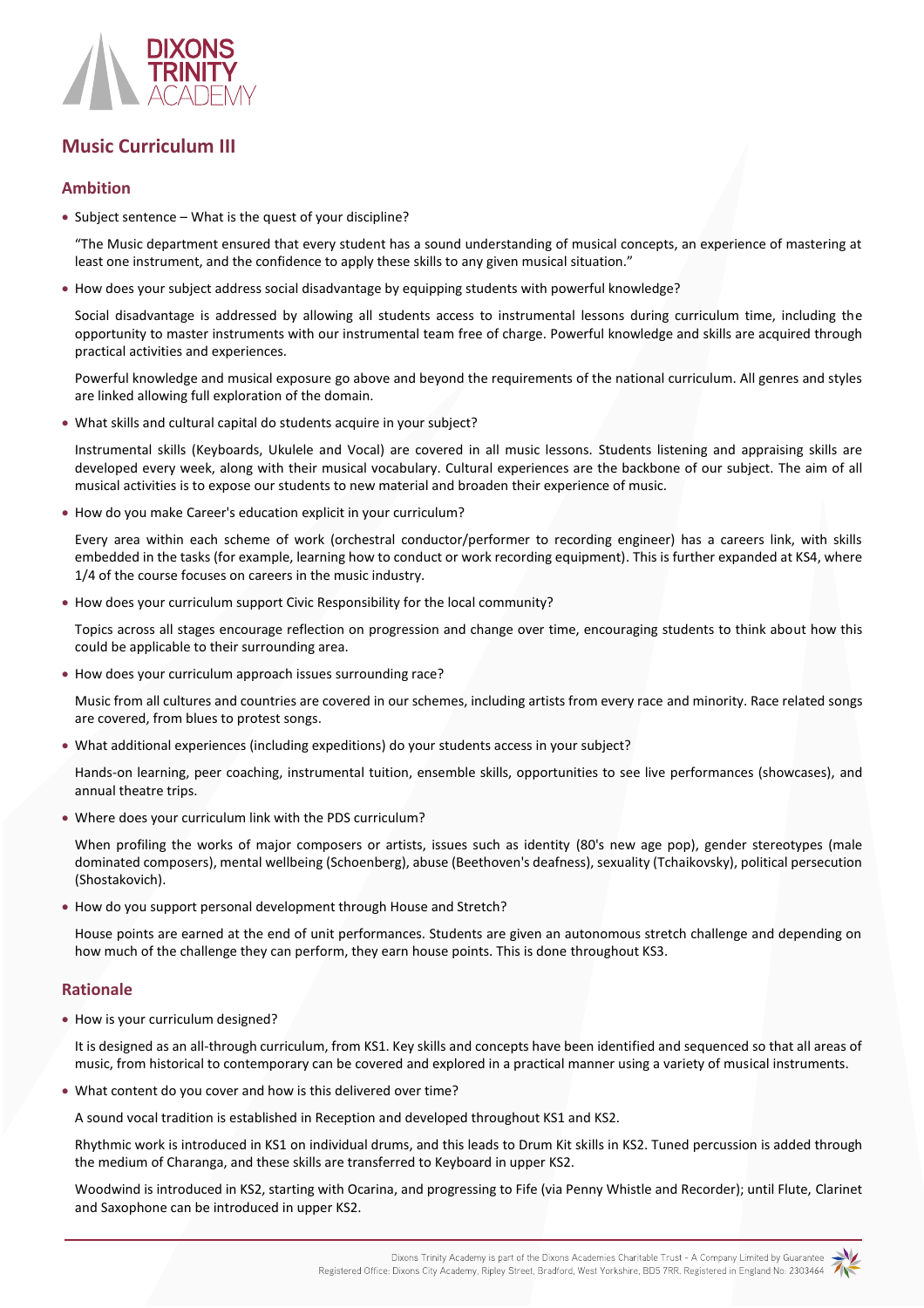

# **Music Curriculum III**

## **Ambition**

• Subject sentence – What is the quest of your discipline?

"The Music department ensured that every student has a sound understanding of musical concepts, an experience of mastering at least one instrument, and the confidence to apply these skills to any given musical situation."

How does your subject address social disadvantage by equipping students with powerful knowledge?

Social disadvantage is addressed by allowing all students access to instrumental lessons during curriculum time, including the opportunity to master instruments with our instrumental team free of charge. Powerful knowledge and skills are acquired through practical activities and experiences.

Powerful knowledge and musical exposure go above and beyond the requirements of the national curriculum. All genres and styles are linked allowing full exploration of the domain.

What skills and cultural capital do students acquire in your subject?

Instrumental skills (Keyboards, Ukulele and Vocal) are covered in all music lessons. Students listening and appraising skills are developed every week, along with their musical vocabulary. Cultural experiences are the backbone of our subject. The aim of all musical activities is to expose our students to new material and broaden their experience of music.

How do you make Career's education explicit in your curriculum?

Every area within each scheme of work (orchestral conductor/performer to recording engineer) has a careers link, with skills embedded in the tasks (for example, learning how to conduct or work recording equipment). This is further expanded at KS4, where 1/4 of the course focuses on careers in the music industry.

How does your curriculum support Civic Responsibility for the local community?

Topics across all stages encourage reflection on progression and change over time, encouraging students to think about how this could be applicable to their surrounding area.

How does your curriculum approach issues surrounding race?

Music from all cultures and countries are covered in our schemes, including artists from every race and minority. Race related songs are covered, from blues to protest songs.

What additional experiences (including expeditions) do your students access in your subject?

Hands-on learning, peer coaching, instrumental tuition, ensemble skills, opportunities to see live performances (showcases), and annual theatre trips.

Where does your curriculum link with the PDS curriculum?

When profiling the works of major composers or artists, issues such as identity (80's new age pop), gender stereotypes (male dominated composers), mental wellbeing (Schoenberg), abuse (Beethoven's deafness), sexuality (Tchaikovsky), political persecution (Shostakovich).

How do you support personal development through House and Stretch?

House points are earned at the end of unit performances. Students are given an autonomous stretch challenge and depending on how much of the challenge they can perform, they earn house points. This is done throughout KS3.

## **Rationale**

• How is your curriculum designed?

It is designed as an all-through curriculum, from KS1. Key skills and concepts have been identified and sequenced so that all areas of music, from historical to contemporary can be covered and explored in a practical manner using a variety of musical instruments.

What content do you cover and how is this delivered over time?

A sound vocal tradition is established in Reception and developed throughout KS1 and KS2.

Rhythmic work is introduced in KS1 on individual drums, and this leads to Drum Kit skills in KS2. Tuned percussion is added through the medium of Charanga, and these skills are transferred to Keyboard in upper KS2.

Woodwind is introduced in KS2, starting with Ocarina, and progressing to Fife (via Penny Whistle and Recorder); until Flute, Clarinet and Saxophone can be introduced in upper KS2.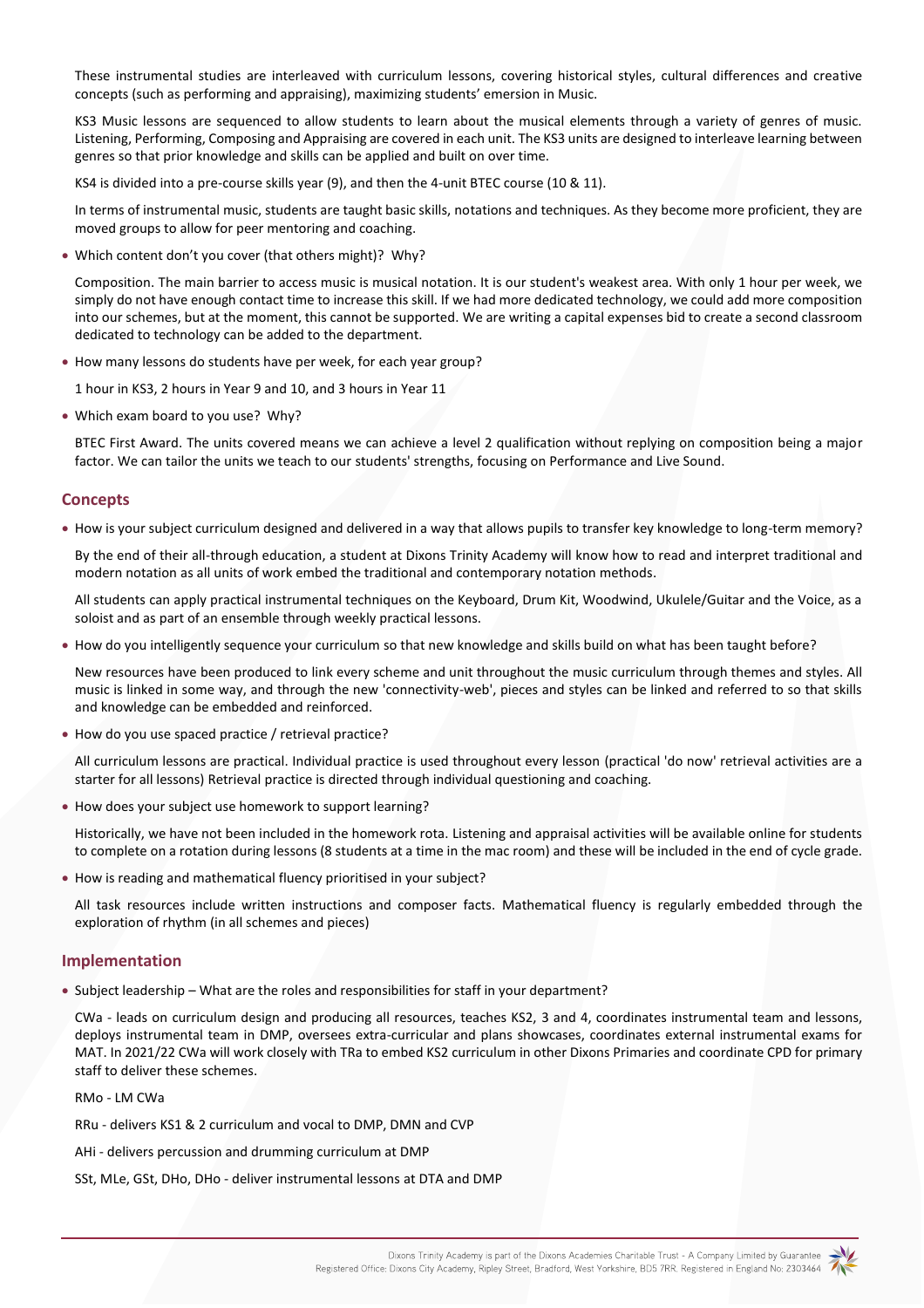These instrumental studies are interleaved with curriculum lessons, covering historical styles, cultural differences and creative concepts (such as performing and appraising), maximizing students' emersion in Music.

KS3 Music lessons are sequenced to allow students to learn about the musical elements through a variety of genres of music. Listening, Performing, Composing and Appraising are covered in each unit. The KS3 units are designed to interleave learning between genres so that prior knowledge and skills can be applied and built on over time.

KS4 is divided into a pre-course skills year (9), and then the 4-unit BTEC course (10 & 11).

In terms of instrumental music, students are taught basic skills, notations and techniques. As they become more proficient, they are moved groups to allow for peer mentoring and coaching.

Which content don't you cover (that others might)? Why?

Composition. The main barrier to access music is musical notation. It is our student's weakest area. With only 1 hour per week, we simply do not have enough contact time to increase this skill. If we had more dedicated technology, we could add more composition into our schemes, but at the moment, this cannot be supported. We are writing a capital expenses bid to create a second classroom dedicated to technology can be added to the department.

How many lessons do students have per week, for each year group?

1 hour in KS3, 2 hours in Year 9 and 10, and 3 hours in Year 11

Which exam board to you use? Why?

BTEC First Award. The units covered means we can achieve a level 2 qualification without replying on composition being a major factor. We can tailor the units we teach to our students' strengths, focusing on Performance and Live Sound.

### **Concepts**

How is your subject curriculum designed and delivered in a way that allows pupils to transfer key knowledge to long-term memory?

By the end of their all-through education, a student at Dixons Trinity Academy will know how to read and interpret traditional and modern notation as all units of work embed the traditional and contemporary notation methods.

All students can apply practical instrumental techniques on the Keyboard, Drum Kit, Woodwind, Ukulele/Guitar and the Voice, as a soloist and as part of an ensemble through weekly practical lessons.

• How do you intelligently sequence your curriculum so that new knowledge and skills build on what has been taught before?

New resources have been produced to link every scheme and unit throughout the music curriculum through themes and styles. All music is linked in some way, and through the new 'connectivity-web', pieces and styles can be linked and referred to so that skills and knowledge can be embedded and reinforced.

How do you use spaced practice / retrieval practice?

All curriculum lessons are practical. Individual practice is used throughout every lesson (practical 'do now' retrieval activities are a starter for all lessons) Retrieval practice is directed through individual questioning and coaching.

How does your subject use homework to support learning?

Historically, we have not been included in the homework rota. Listening and appraisal activities will be available online for students to complete on a rotation during lessons (8 students at a time in the mac room) and these will be included in the end of cycle grade.

How is reading and mathematical fluency prioritised in your subject?

All task resources include written instructions and composer facts. Mathematical fluency is regularly embedded through the exploration of rhythm (in all schemes and pieces)

### **Implementation**

• Subject leadership – What are the roles and responsibilities for staff in your department?

CWa - leads on curriculum design and producing all resources, teaches KS2, 3 and 4, coordinates instrumental team and lessons, deploys instrumental team in DMP, oversees extra-curricular and plans showcases, coordinates external instrumental exams for MAT. In 2021/22 CWa will work closely with TRa to embed KS2 curriculum in other Dixons Primaries and coordinate CPD for primary staff to deliver these schemes.

#### RMo - LM CWa

RRu - delivers KS1 & 2 curriculum and vocal to DMP, DMN and CVP

AHi - delivers percussion and drumming curriculum at DMP

SSt, MLe, GSt, DHo, DHo - deliver instrumental lessons at DTA and DMP

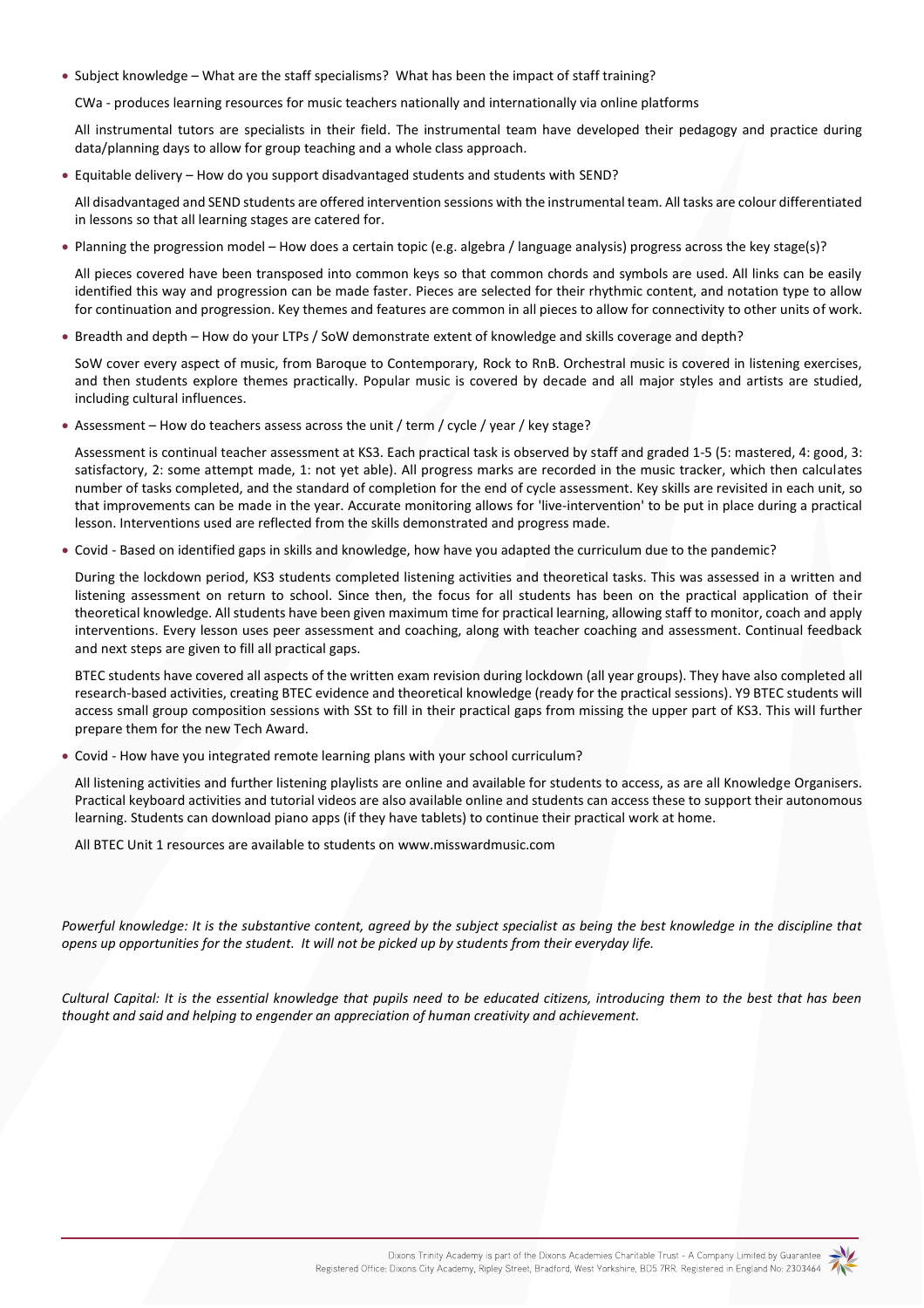• Subject knowledge – What are the staff specialisms? What has been the impact of staff training?

CWa - produces learning resources for music teachers nationally and internationally via online platforms

All instrumental tutors are specialists in their field. The instrumental team have developed their pedagogy and practice during data/planning days to allow for group teaching and a whole class approach.

Equitable delivery – How do you support disadvantaged students and students with SEND?

All disadvantaged and SEND students are offered intervention sessions with the instrumental team. All tasks are colour differentiated in lessons so that all learning stages are catered for.

Planning the progression model – How does a certain topic (e.g. algebra / language analysis) progress across the key stage(s)?

All pieces covered have been transposed into common keys so that common chords and symbols are used. All links can be easily identified this way and progression can be made faster. Pieces are selected for their rhythmic content, and notation type to allow for continuation and progression. Key themes and features are common in all pieces to allow for connectivity to other units of work.

Breadth and depth – How do your LTPs / SoW demonstrate extent of knowledge and skills coverage and depth?

SoW cover every aspect of music, from Baroque to Contemporary, Rock to RnB. Orchestral music is covered in listening exercises, and then students explore themes practically. Popular music is covered by decade and all major styles and artists are studied, including cultural influences.

Assessment – How do teachers assess across the unit / term / cycle / year / key stage?

Assessment is continual teacher assessment at KS3. Each practical task is observed by staff and graded 1-5 (5: mastered, 4: good, 3: satisfactory, 2: some attempt made, 1: not yet able). All progress marks are recorded in the music tracker, which then calculates number of tasks completed, and the standard of completion for the end of cycle assessment. Key skills are revisited in each unit, so that improvements can be made in the year. Accurate monitoring allows for 'live-intervention' to be put in place during a practical lesson. Interventions used are reflected from the skills demonstrated and progress made.

Covid - Based on identified gaps in skills and knowledge, how have you adapted the curriculum due to the pandemic?

During the lockdown period, KS3 students completed listening activities and theoretical tasks. This was assessed in a written and listening assessment on return to school. Since then, the focus for all students has been on the practical application of their theoretical knowledge. All students have been given maximum time for practical learning, allowing staff to monitor, coach and apply interventions. Every lesson uses peer assessment and coaching, along with teacher coaching and assessment. Continual feedback and next steps are given to fill all practical gaps.

BTEC students have covered all aspects of the written exam revision during lockdown (all year groups). They have also completed all research-based activities, creating BTEC evidence and theoretical knowledge (ready for the practical sessions). Y9 BTEC students will access small group composition sessions with SSt to fill in their practical gaps from missing the upper part of KS3. This will further prepare them for the new Tech Award.

Covid - How have you integrated remote learning plans with your school curriculum?

All listening activities and further listening playlists are online and available for students to access, as are all Knowledge Organisers. Practical keyboard activities and tutorial videos are also available online and students can access these to support their autonomous learning. Students can download piano apps (if they have tablets) to continue their practical work at home.

All BTEC Unit 1 resources are available to students o[n www.misswardmusic.com](http://www.misswardmusic.com/)

Powerful knowledge: It is the substantive content, agreed by the subject specialist as being the best knowledge in the discipline that *opens up opportunities for the student. It will not be picked up by students from their everyday life.*

*Cultural Capital: It is the essential knowledge that pupils need to be educated citizens, introducing them to the best that has been thought and said and helping to engender an appreciation of human creativity and achievement.*